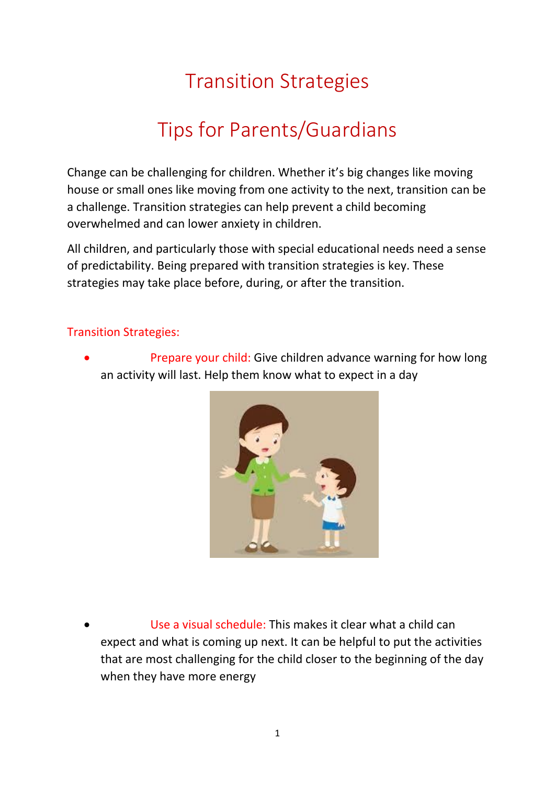## Transition Strategies

## Tips for Parents/Guardians

Change can be challenging for children. Whether it's big changes like moving house or small ones like moving from one activity to the next, transition can be a challenge. Transition strategies can help prevent a child becoming overwhelmed and can lower anxiety in children.

All children, and particularly those with special educational needs need a sense of predictability. Being prepared with transition strategies is key. These strategies may take place before, during, or after the transition.

## Transition Strategies:

 Prepare your child: Give children advance warning for how long an activity will last. Help them know what to expect in a day



 Use a visual schedule: This makes it clear what a child can expect and what is coming up next. It can be helpful to put the activities that are most challenging for the child closer to the beginning of the day when they have more energy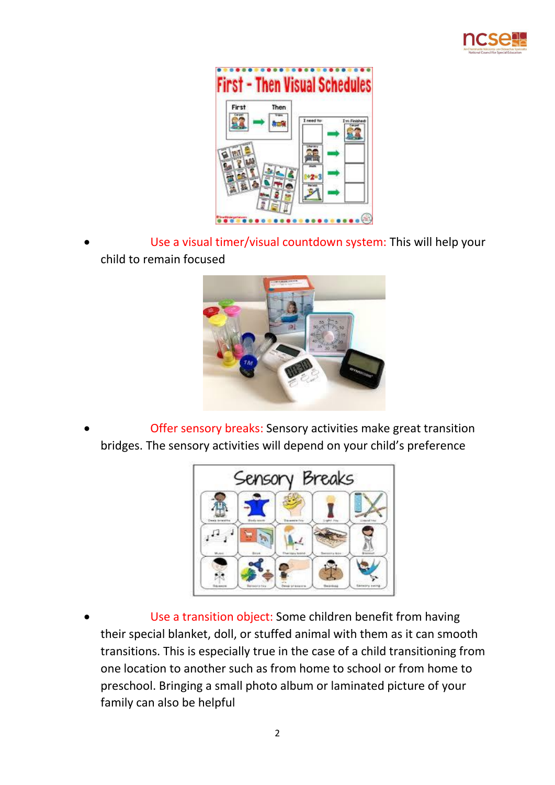



 Use a visual timer/visual countdown system: This will help your child to remain focused



 Offer sensory breaks: Sensory activities make great transition bridges. The sensory activities will depend on your child's preference



 Use a transition object: Some children benefit from having their special blanket, doll, or stuffed animal with them as it can smooth transitions. This is especially true in the case of a child transitioning from one location to another such as from home to school or from home to preschool. Bringing a small photo album or laminated picture of your family can also be helpful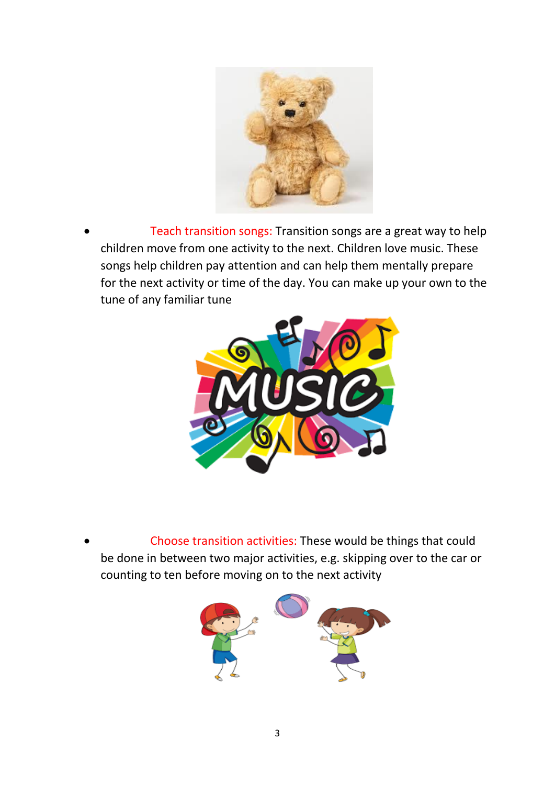

 Teach transition songs: Transition songs are a great way to help children move from one activity to the next. Children love music. These songs help children pay attention and can help them mentally prepare for the next activity or time of the day. You can make up your own to the tune of any familiar tune



 Choose transition activities: These would be things that could be done in between two major activities, e.g. skipping over to the car or counting to ten before moving on to the next activity